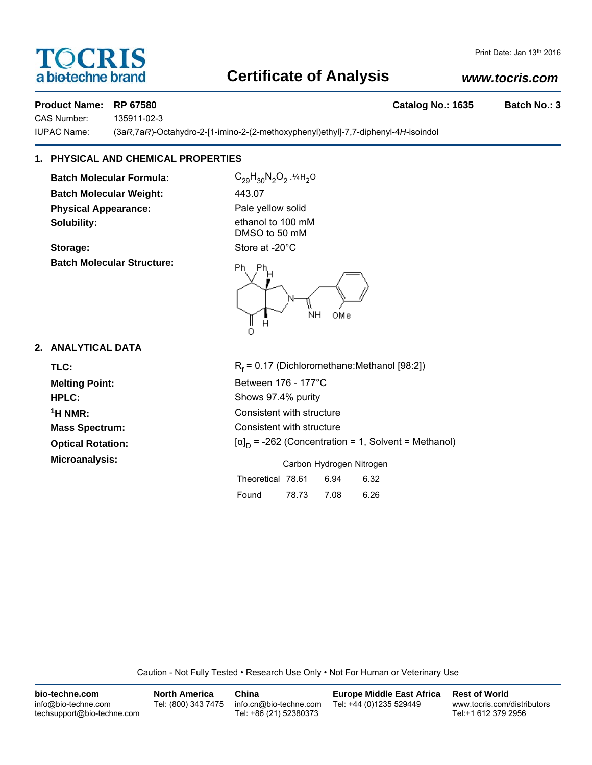# **TOCRIS** a biotechne brand

### Print Date: Jan 13th 2016

# **Certificate of Analysis**

# *www.tocris.com*

Product Name: RP 67580 **Catalog No.: 1635** Batch No.: 3

CAS Number: 135911-02-3

IUPAC Name: (3a*R*,7a*R*)-Octahydro-2-[1-imino-2-(2-methoxyphenyl)ethyl]-7,7-diphenyl-4*H*-isoindol

# **1. PHYSICAL AND CHEMICAL PROPERTIES**

**Batch Molecular Formula:** C<sub>29</sub>H<sub>30</sub>N<sub>2</sub>O<sub>2</sub>.<sup>14H<sub>2</sub>O</sup> **Batch Molecular Weight:** 443.07 **Physical Appearance:** Pale yellow solid **Solubility:** ethanol to 100 mM

Storage: Store at -20°C **Batch Molecular Structure:**



DMSO to 50 mM



Found 78.73 7.08 6.26

# **2. ANALYTICAL DATA**

| TLC:                     | $R_f$ = 0.17 (Dichloromethane: Methanol [98:2])             |  |  |  |
|--------------------------|-------------------------------------------------------------|--|--|--|
| <b>Melting Point:</b>    | Between 176 - 177°C                                         |  |  |  |
| HPLC:                    | Shows 97.4% purity                                          |  |  |  |
| $1H NMR$ :               | Consistent with structure                                   |  |  |  |
| <b>Mass Spectrum:</b>    | Consistent with structure                                   |  |  |  |
| <b>Optical Rotation:</b> | $[\alpha]_D$ = -262 (Concentration = 1, Solvent = Methanol) |  |  |  |
| Microanalysis:           | Carbon Hydrogen Nitrogen                                    |  |  |  |
|                          | Theoretical 78.61<br>6.94<br>6.32                           |  |  |  |

Caution - Not Fully Tested • Research Use Only • Not For Human or Veterinary Use

| bio-techne.com                                    | <b>North America</b> | China                                            | <b>Europe Middle East Africa</b> | <b>Rest of World</b>                               |
|---------------------------------------------------|----------------------|--------------------------------------------------|----------------------------------|----------------------------------------------------|
| info@bio-techne.com<br>techsupport@bio-techne.com | Tel: (800) 343 7475  | info.cn@bio-techne.com<br>Tel: +86 (21) 52380373 | Tel: +44 (0)1235 529449          | www.tocris.com/distributors<br>Tel:+1 612 379 2956 |